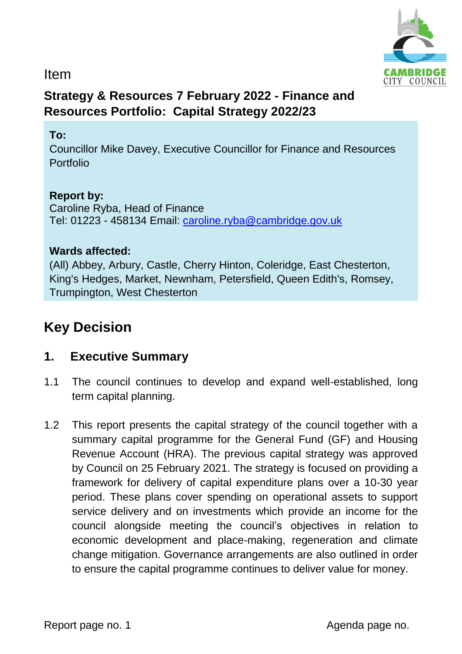

### Item

## **Strategy & Resources 7 February 2022 - Finance and Resources Portfolio: Capital Strategy 2022/23**

#### **To:**

Councillor Mike Davey, Executive Councillor for Finance and Resources Portfolio

#### **Report by:**

Caroline Ryba, Head of Finance Tel: 01223 - 458134 Email: [caroline.ryba@cambridge.gov.uk](mailto:caroline.ryba@cambridge.gov.uk)

#### **Wards affected:**

(All) Abbey, Arbury, Castle, Cherry Hinton, Coleridge, East Chesterton, King's Hedges, Market, Newnham, Petersfield, Queen Edith's, Romsey, Trumpington, West Chesterton

# **Key Decision**

### **1. Executive Summary**

- 1.1 The council continues to develop and expand well-established, long term capital planning.
- 1.2 This report presents the capital strategy of the council together with a summary capital programme for the General Fund (GF) and Housing Revenue Account (HRA). The previous capital strategy was approved by Council on 25 February 2021. The strategy is focused on providing a framework for delivery of capital expenditure plans over a 10-30 year period. These plans cover spending on operational assets to support service delivery and on investments which provide an income for the council alongside meeting the council's objectives in relation to economic development and place-making, regeneration and climate change mitigation. Governance arrangements are also outlined in order to ensure the capital programme continues to deliver value for money.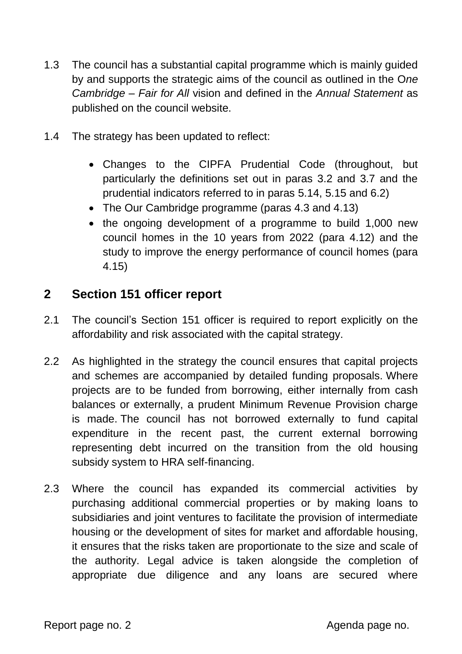- 1.3 The council has a substantial capital programme which is mainly guided by and supports the strategic aims of the council as outlined in the O*ne Cambridge – Fair for All* vision and defined in the *Annual Statement* as published on the council website.
- 1.4 The strategy has been updated to reflect:
	- Changes to the CIPFA Prudential Code (throughout, but particularly the definitions set out in paras 3.2 and 3.7 and the prudential indicators referred to in paras 5.14, 5.15 and 6.2)
	- The Our Cambridge programme (paras 4.3 and 4.13)
	- the ongoing development of a programme to build 1,000 new council homes in the 10 years from 2022 (para 4.12) and the study to improve the energy performance of council homes (para 4.15)

### **2 Section 151 officer report**

- 2.1 The council's Section 151 officer is required to report explicitly on the affordability and risk associated with the capital strategy.
- 2.2 As highlighted in the strategy the council ensures that capital projects and schemes are accompanied by detailed funding proposals. Where projects are to be funded from borrowing, either internally from cash balances or externally, a prudent Minimum Revenue Provision charge is made. The council has not borrowed externally to fund capital expenditure in the recent past, the current external borrowing representing debt incurred on the transition from the old housing subsidy system to HRA self-financing.
- 2.3 Where the council has expanded its commercial activities by purchasing additional commercial properties or by making loans to subsidiaries and joint ventures to facilitate the provision of intermediate housing or the development of sites for market and affordable housing, it ensures that the risks taken are proportionate to the size and scale of the authority. Legal advice is taken alongside the completion of appropriate due diligence and any loans are secured where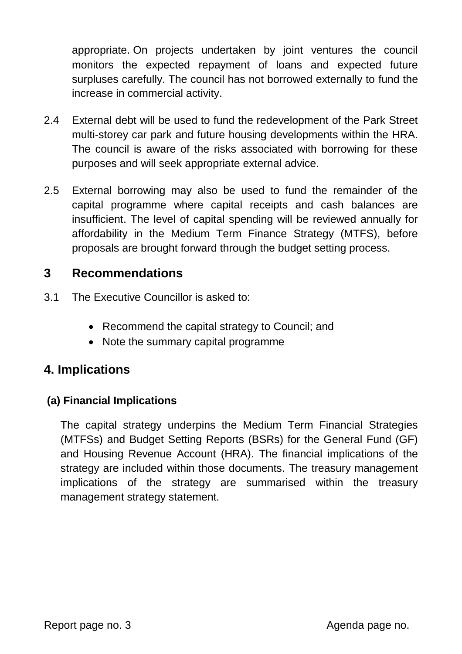appropriate. On projects undertaken by joint ventures the council monitors the expected repayment of loans and expected future surpluses carefully. The council has not borrowed externally to fund the increase in commercial activity.

- 2.4 External debt will be used to fund the redevelopment of the Park Street multi-storey car park and future housing developments within the HRA. The council is aware of the risks associated with borrowing for these purposes and will seek appropriate external advice.
- 2.5 External borrowing may also be used to fund the remainder of the capital programme where capital receipts and cash balances are insufficient. The level of capital spending will be reviewed annually for affordability in the Medium Term Finance Strategy (MTFS), before proposals are brought forward through the budget setting process.

### **3 Recommendations**

- 3.1 The Executive Councillor is asked to:
	- Recommend the capital strategy to Council; and
	- Note the summary capital programme

### **4. Implications**

#### **(a) Financial Implications**

The capital strategy underpins the Medium Term Financial Strategies (MTFSs) and Budget Setting Reports (BSRs) for the General Fund (GF) and Housing Revenue Account (HRA). The financial implications of the strategy are included within those documents. The treasury management implications of the strategy are summarised within the treasury management strategy statement.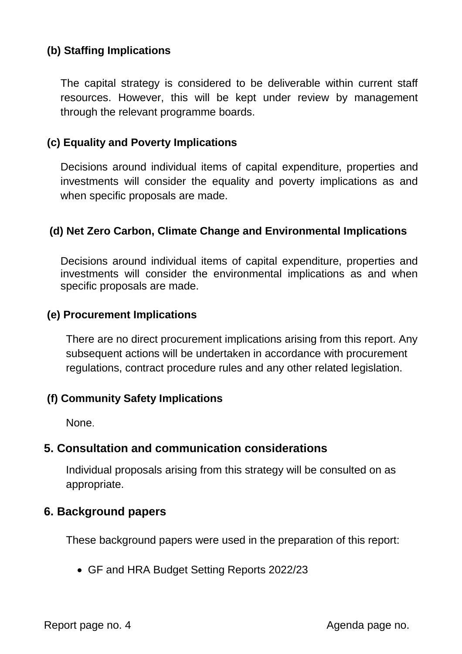### **(b) Staffing Implications**

The capital strategy is considered to be deliverable within current staff resources. However, this will be kept under review by management through the relevant programme boards.

#### **(c) Equality and Poverty Implications**

Decisions around individual items of capital expenditure, properties and investments will consider the equality and poverty implications as and when specific proposals are made.

#### **(d) Net Zero Carbon, Climate Change and Environmental Implications**

Decisions around individual items of capital expenditure, properties and investments will consider the environmental implications as and when specific proposals are made.

#### **(e) Procurement Implications**

There are no direct procurement implications arising from this report. Any subsequent actions will be undertaken in accordance with procurement regulations, contract procedure rules and any other related legislation.

#### **(f) Community Safety Implications**

None.

#### **5. Consultation and communication considerations**

Individual proposals arising from this strategy will be consulted on as appropriate.

#### **6. Background papers**

These background papers were used in the preparation of this report:

GF and HRA Budget Setting Reports 2022/23